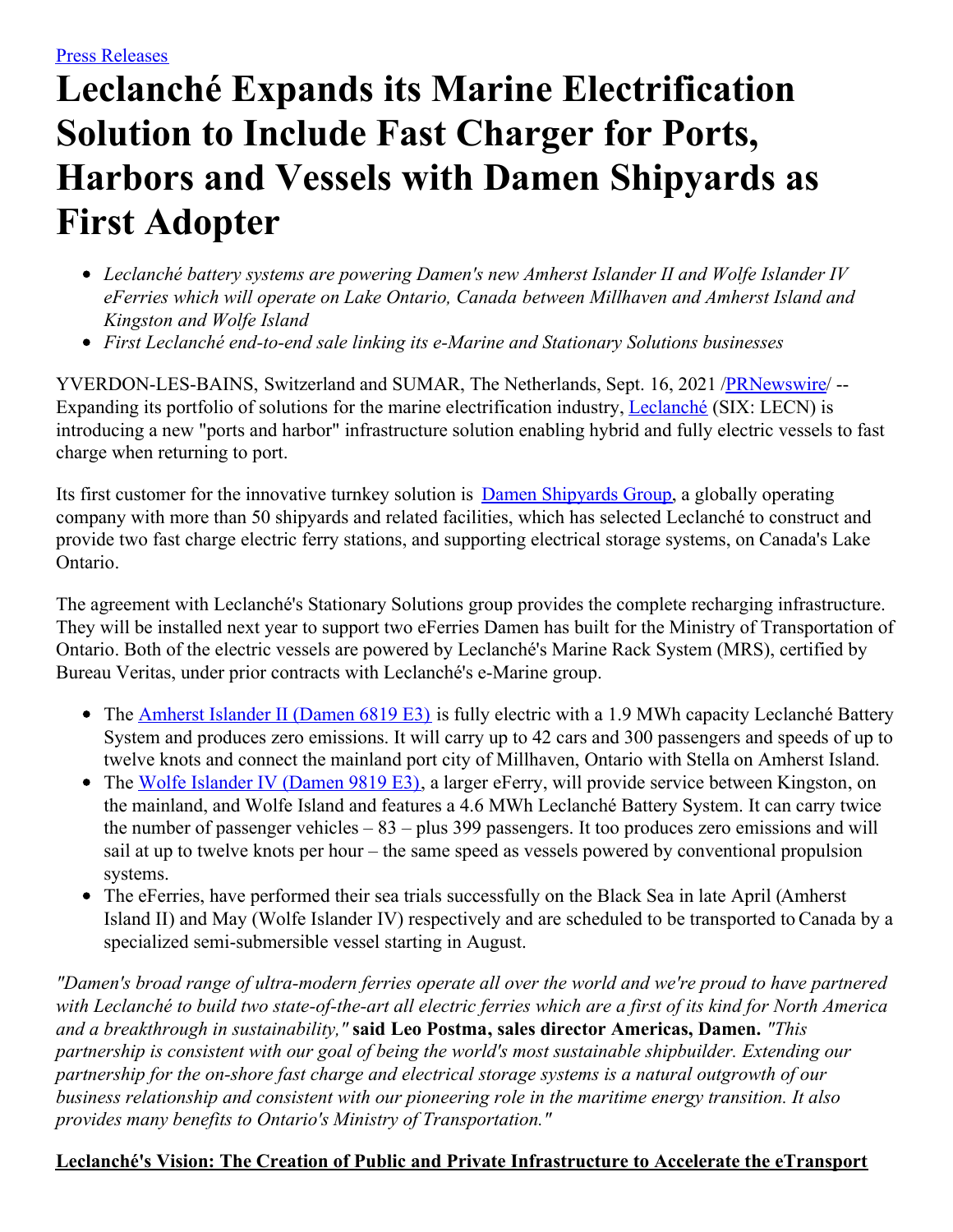# **Leclanché Expands its Marine Electrification Solution to Include Fast Charger for Ports, Harbors and Vessels with Damen Shipyards as First Adopter**

- *Leclanché battery systems are powering Damen's new Amherst Islander II and Wolfe Islander IV eFerries which will operate on Lake Ontario, Canada between Millhaven and Amherst Island and Kingston and Wolfe Island*
- *First Leclanché end-to-end sale linking its e-Marine and Stationary Solutions businesses*

YVERDON-LES-BAINS, Switzerland and SUMAR, The Netherlands, Sept. 16, 2021 [/PRNewswire](http://www.prnewswire.com/)/ --Expanding its portfolio of solutions for the marine electrification industry, [Leclanché](https://c212.net/c/link/?t=0&l=en&o=3292388-1&h=1908228301&u=http%3A%2F%2Fwww.leclanche.com%2F&a=Leclanch%C3%A9) (SIX: LECN) is introducing a new "ports and harbor" infrastructure solution enabling hybrid and fully electric vessels to fast charge when returning to port.

Its first customer for the innovative turnkey solution is **Damen [Shipyards](https://c212.net/c/link/?t=0&l=en&o=3292388-1&h=3073349547&u=http%3A%2F%2Fwww.damen.com%2F&a=Damen+Shipyards+Group) Group**, a globally operating company with more than 50 shipyards and related facilities, which has selected Leclanché to construct and provide two fast charge electric ferry stations, and supporting electrical storage systems, on Canada's Lake Ontario.

The agreement with Leclanché's Stationary Solutions group provides the complete recharging infrastructure. They will be installed next year to support two eFerries Damen has built for the Ministry of Transportation of Ontario. Both of the electric vessels are powered by Leclanché's Marine Rack System (MRS), certified by Bureau Veritas, under prior contracts with Leclanché's e-Marine group.

- The [Amherst](https://c212.net/c/link/?t=0&l=en&o=3292388-1&h=2924276465&u=https%3A%2F%2Fwww.leclanche.com%2Fwp-content%2Fuploads%2F2021%2F09%2FDRFe6819E3-AI-WEBSITEAIP-HIRES.jpg&a=Amherst+Islander+II+(Damen+6819+E3)) Islander II (Damen 6819 E3) is fully electric with a 1.9 MWh capacity Leclanché Battery System and produces zero emissions. It will carry up to 42 cars and 300 passengers and speeds of up to twelve knots and connect the mainland port city of Millhaven, Ontario with Stella on Amherst Island.
- The Wolfe [Islander](https://c212.net/c/link/?t=0&l=en&o=3292388-1&h=364219394&u=https%3A%2F%2Fwww.leclanche.com%2Fwp-content%2Fuploads%2F2021%2F09%2FDRFe9819E3-AI-WEBSITEAIP-HIRES-scaled.jpg&a=Wolfe+Islander+IV+(Damen+9819+E3)) IV (Damen 9819 E3), a larger eFerry, will provide service between Kingston, on the mainland, and Wolfe Island and features a 4.6 MWh Leclanché Battery System. It can carry twice the number of passenger vehicles – 83 – plus 399 passengers. It too produces zero emissions and will sail at up to twelve knots per hour – the same speed as vessels powered by conventional propulsion systems.
- The eFerries, have performed their sea trials successfully on the Black Sea in late April (Amherst Island II) and May (Wolfe Islander IV) respectively and are scheduled to be transported to Canada by a specialized semi-submersible vessel starting in August.

*"Damen's broad range of ultra-modern ferries operate all over the world and we're proud to have partnered* with Leclanché to build two state-of-the-art all electric ferries which are a first of its kind for North America *and a breakthrough in sustainability,"* **said Leo Postma, sales director Americas, Damen.** *"This partnership is consistent with our goal of being the world's most sustainable shipbuilder. Extending our partnership for the on-shore fast charge and electrical storage systems is a natural outgrowth of our business relationship and consistent with our pioneering role in the maritime energy transition. It also provides many benefits to Ontario's Ministry of Transportation."*

#### **Leclanché's Vision: The Creation of Public and Private Infrastructure to Accelerate the eTransport**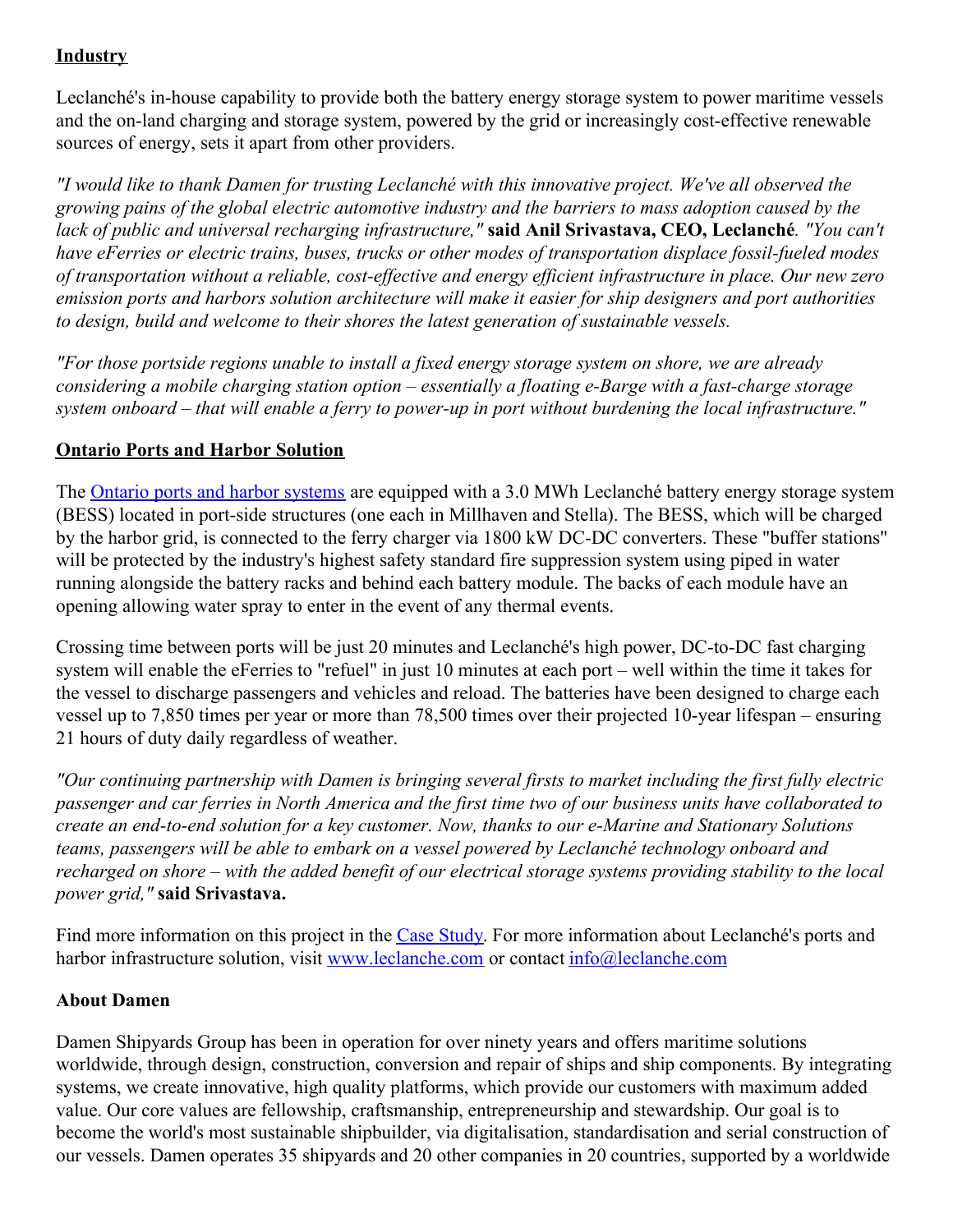# **Industry**

Leclanché's in-house capability to provide both the battery energy storage system to power maritime vessels and the on-land charging and storage system, powered by the grid or increasingly cost-effective renewable sources of energy, sets it apart from other providers.

*"I would like to thank Damen for trusting Leclanché with this innovative project. We've all observed the growing pains of the global electric automotive industry and the barriers to mass adoption caused by the lack of public and universal recharging infrastructure,"* **said Anil Srivastava, CEO, Leclanché***. "You can't have eFerries or electric trains, buses, trucks or other modes of transportation displace fossil-fueled modes* of transportation without a reliable, cost-effective and energy efficient infrastructure in place. Our new zero *emission ports and harbors solution architecture will make it easier for ship designers and port authorities to design, build and welcome to their shores the latest generation of sustainable vessels.*

*"For those portside regions unable to install a fixed energy storage system on shore, we are already considering a mobile charging station option – essentially a floating e-Barge with a fast-charge storage* system onboard – that will enable a ferry to power-up in port without burdening the local infrastructure."

## **Ontario Ports and Harbor Solution**

The Ontario ports and harbor [systems](https://c212.net/c/link/?t=0&l=en&o=3292388-1&h=4149918055&u=https%3A%2F%2Fwww.leclanche.com%2Fwp-content%2Fuploads%2F2021%2F09%2FLEC_Damen-Road-Ferry_electrical-propulsion-syst_V2.pdf&a=Ontario+ports+and+harbor+systems) are equipped with a 3.0 MWh Leclanché battery energy storage system (BESS) located in port-side structures (one each in Millhaven and Stella). The BESS, which will be charged by the harbor grid, is connected to the ferry charger via 1800 kW DC-DC converters. These "buffer stations" will be protected by the industry's highest safety standard fire suppression system using piped in water running alongside the battery racks and behind each battery module. The backs of each module have an opening allowing water spray to enter in the event of any thermal events.

Crossing time between ports will be just 20 minutes and Leclanché's high power, DC-to-DC fast charging system will enable the eFerries to "refuel" in just 10 minutes at each port – well within the time it takes for the vessel to discharge passengers and vehicles and reload. The batteries have been designed to charge each vessel up to 7,850 times per year or more than 78,500 times over their projected 10-year lifespan – ensuring 21 hours of duty daily regardless of weather.

*"Our continuing partnership with Damen is bringing several firsts to market including the first fully electric* passenger and car ferries in North America and the first time two of our business units have collaborated to *create an end-to-end solution for a key customer. Now, thanks to our e-Marine and Stationary Solutions teams, passengers will be able to embark on a vessel powered by Leclanché technology onboard and* recharged on shore – with the added benefit of our electrical storage systems providing stability to the local *power grid,"* **said Srivastava.**

Find more information on this project in the Case [Study](https://c212.net/c/link/?t=0&l=en&o=3292388-1&h=2797298334&u=https%3A%2F%2Fwww.leclanche.com%2Fwp-content%2Fuploads%2F2021%2F09%2FDAMENEUR-web-10.9.21.pdf&a=Case+Study). For more information about Leclanché's ports and harbor infrastructure solution, visit [www.leclanche.com](https://c212.net/c/link/?t=0&l=en&o=3292388-1&h=2164790607&u=http%3A%2F%2Fwww.leclanche.com%2F&a=www.leclanche.com) or contact [info@leclanche.com](mailto:info@leclanche.com)

### **About Damen**

Damen Shipyards Group has been in operation for over ninety years and offers maritime solutions worldwide, through design, construction, conversion and repair of ships and ship components. By integrating systems, we create innovative, high quality platforms, which provide our customers with maximum added value. Our core values are fellowship, craftsmanship, entrepreneurship and stewardship. Our goal is to become the world's most sustainable shipbuilder, via digitalisation, standardisation and serial construction of our vessels. Damen operates 35 shipyards and 20 other companies in 20 countries, supported by a worldwide